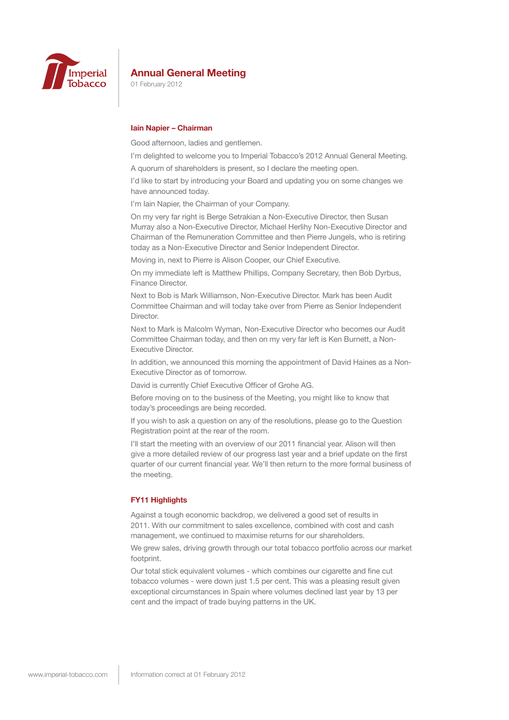

01 February 2012

#### **Iain Napier – Chairman**

Good afternoon, ladies and gentlemen.

I'm delighted to welcome you to Imperial Tobacco's 2012 Annual General Meeting.

A quorum of shareholders is present, so I declare the meeting open.

I'd like to start by introducing your Board and updating you on some changes we have announced today.

I'm Iain Napier, the Chairman of your Company.

On my very far right is Berge Setrakian a Non-Executive Director, then Susan Murray also a Non-Executive Director, Michael Herlihy Non-Executive Director and Chairman of the Remuneration Committee and then Pierre Jungels, who is retiring today as a Non-Executive Director and Senior Independent Director.

Moving in, next to Pierre is Alison Cooper, our Chief Executive.

On my immediate left is Matthew Phillips, Company Secretary, then Bob Dyrbus, Finance Director.

Next to Bob is Mark Williamson, Non-Executive Director. Mark has been Audit Committee Chairman and will today take over from Pierre as Senior Independent Director.

Next to Mark is Malcolm Wyman, Non-Executive Director who becomes our Audit Committee Chairman today, and then on my very far left is Ken Burnett, a Non-Executive Director.

In addition, we announced this morning the appointment of David Haines as a Non-Executive Director as of tomorrow.

David is currently Chief Executive Officer of Grohe AG.

Before moving on to the business of the Meeting, you might like to know that today's proceedings are being recorded.

If you wish to ask a question on any of the resolutions, please go to the Question Registration point at the rear of the room.

I'll start the meeting with an overview of our 2011 financial year. Alison will then give a more detailed review of our progress last year and a brief update on the first quarter of our current financial year. We'll then return to the more formal business of the meeting.

## **FY11 Highlights**

Against a tough economic backdrop, we delivered a good set of results in 2011. With our commitment to sales excellence, combined with cost and cash management, we continued to maximise returns for our shareholders.

We grew sales, driving growth through our total tobacco portfolio across our market footprint.

Our total stick equivalent volumes - which combines our cigarette and fine cut tobacco volumes - were down just 1.5 per cent. This was a pleasing result given exceptional circumstances in Spain where volumes declined last year by 13 per cent and the impact of trade buying patterns in the UK.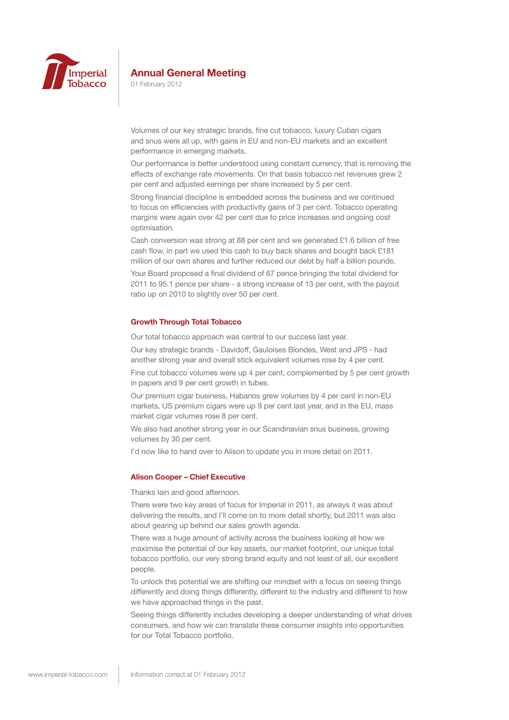

01 February 2012

Volumes of our key strategic brands, fine cut tobacco, luxury Cuban cigars and snus were all up, with gains in EU and non-EU markets and an excellent performance in emerging markets.

Our performance is better understood using constant currency, that is removing the effects of exchange rate movements. On that basis tobacco net revenues grew 2 per cent and adjusted earnings per share increased by 5 per cent.

Strong financial discipline is embedded across the business and we continued to focus on efficiencies with productivity gains of 3 per cent. Tobacco operating margins were again over 42 per cent due to price increases and ongoing cost optimisation.

Cash conversion was strong at 88 per cent and we generated £1.6 billion of free cash flow, in part we used this cash to buy back shares and bought back £181 million of our own shares and further reduced our debt by half a billion pounds.

Your Board proposed a final dividend of 67 pence bringing the total dividend for 2011 to 95.1 pence per share - a strong increase of 13 per cent, with the payout ratio up on 2010 to slightly over 50 per cent.

## **Growth Through Total Tobacco**

Our total tobacco approach was central to our success last year.

Our key strategic brands - Davidoff, Gauloises Blondes, West and JPS - had another strong year and overall stick equivalent volumes rose by 4 per cent.

Fine cut tobacco volumes were up 4 per cent, complemented by 5 per cent growth in papers and 9 per cent growth in tubes.

Our premium cigar business, Habanos grew volumes by 4 per cent in non-EU markets, US premium cigars were up 9 per cent last year, and in the EU, mass market cigar volumes rose 8 per cent.

We also had another strong year in our Scandinavian snus business, growing volumes by 30 per cent.

I'd now like to hand over to Alison to update you in more detail on 2011.

#### **Alison Cooper – Chief Executive**

Thanks Iain and good afternoon.

There were two key areas of focus for Imperial in 2011, as always it was about delivering the results, and I'll come on to more detail shortly, but 2011 was also about gearing up behind our sales growth agenda.

There was a huge amount of activity across the business looking at how we maximise the potential of our key assets, our market footprint, our unique total tobacco portfolio, our very strong brand equity and not least of all, our excellent people.

To unlock this potential we are shifting our mindset with a focus on seeing things differently and doing things differently, different to the industry and different to how we have approached things in the past.

Seeing things differently includes developing a deeper understanding of what drives consumers, and how we can translate these consumer insights into opportunities for our Total Tobacco portfolio.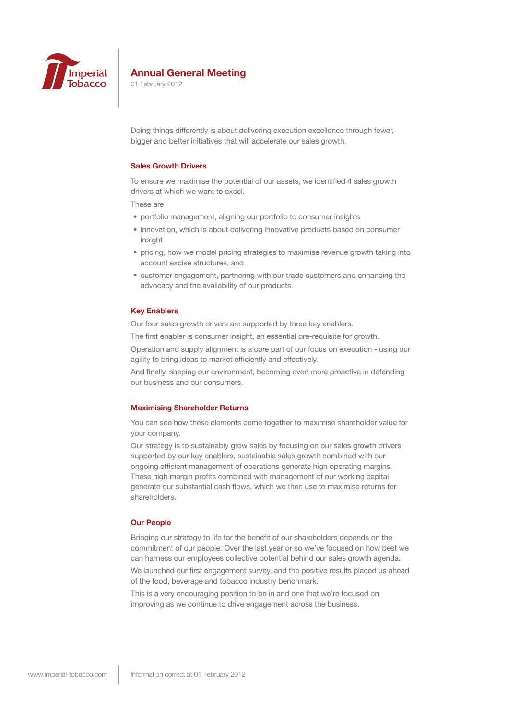

01 February 2012

Doing things differently is about delivering execution excellence through fewer, bigger and better initiatives that will accelerate our sales growth.

## **Sales Growth Drivers**

To ensure we maximise the potential of our assets, we identified 4 sales growth drivers at which we want to excel.

These are

- portfolio management, aligning our portfolio to consumer insights
- innovation, which is about delivering innovative products based on consumer insight
- pricing, how we model pricing strategies to maximise revenue growth taking into account excise structures, and
- customer engagement, partnering with our trade customers and enhancing the advocacy and the availability of our products.

#### **Key Enablers**

Our four sales growth drivers are supported by three key enablers.

The first enabler is consumer insight, an essential pre-requisite for growth.

Operation and supply alignment is a core part of our focus on execution - using our agility to bring ideas to market efficiently and effectively.

And finally, shaping our environment, becoming even more proactive in defending our business and our consumers.

#### **Maximising Shareholder Returns**

You can see how these elements come together to maximise shareholder value for your company.

Our strategy is to sustainably grow sales by focusing on our sales growth drivers, supported by our key enablers, sustainable sales growth combined with our ongoing efficient management of operations generate high operating margins. These high margin profits combined with management of our working capital generate our substantial cash flows, which we then use to maximise returns for shareholders.

#### **Our People**

Bringing our strategy to life for the benefit of our shareholders depends on the commitment of our people. Over the last year or so we've focused on how best we can harness our employees collective potential behind our sales growth agenda.

We launched our first engagement survey, and the positive results placed us ahead of the food, beverage and tobacco industry benchmark.

This is a very encouraging position to be in and one that we're focused on improving as we continue to drive engagement across the business.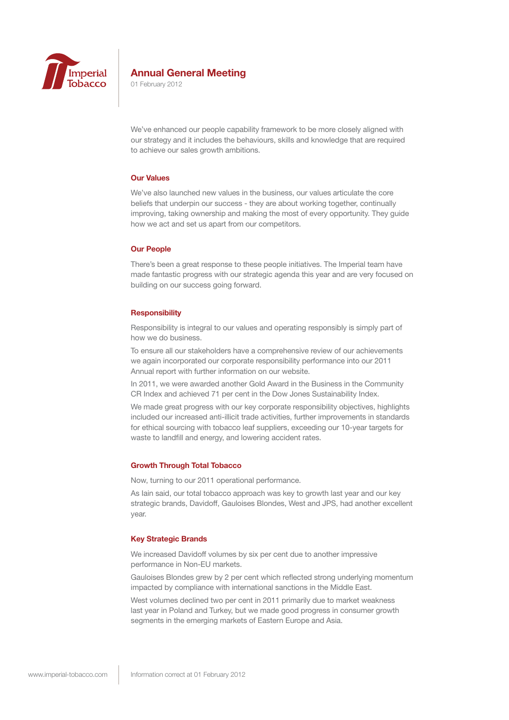

01 February 2012

We've enhanced our people capability framework to be more closely aligned with our strategy and it includes the behaviours, skills and knowledge that are required to achieve our sales growth ambitions.

## **Our Values**

We've also launched new values in the business, our values articulate the core beliefs that underpin our success - they are about working together, continually improving, taking ownership and making the most of every opportunity. They guide how we act and set us apart from our competitors.

#### **Our People**

There's been a great response to these people initiatives. The Imperial team have made fantastic progress with our strategic agenda this year and are very focused on building on our success going forward.

## **Responsibility**

Responsibility is integral to our values and operating responsibly is simply part of how we do business.

To ensure all our stakeholders have a comprehensive review of our achievements we again incorporated our corporate responsibility performance into our 2011 Annual report with further information on our website.

In 2011, we were awarded another Gold Award in the Business in the Community CR Index and achieved 71 per cent in the Dow Jones Sustainability Index.

We made great progress with our key corporate responsibility objectives, highlights included our increased anti-illicit trade activities, further improvements in standards for ethical sourcing with tobacco leaf suppliers, exceeding our 10-year targets for waste to landfill and energy, and lowering accident rates.

#### **Growth Through Total Tobacco**

Now, turning to our 2011 operational performance.

As Iain said, our total tobacco approach was key to growth last year and our key strategic brands, Davidoff, Gauloises Blondes, West and JPS, had another excellent year.

#### **Key Strategic Brands**

We increased Davidoff volumes by six per cent due to another impressive performance in Non-EU markets.

Gauloises Blondes grew by 2 per cent which reflected strong underlying momentum impacted by compliance with international sanctions in the Middle East. West volumes declined two per cent in 2011 primarily due to market weakness last year in Poland and Turkey, but we made good progress in consumer growth

segments in the emerging markets of Eastern Europe and Asia.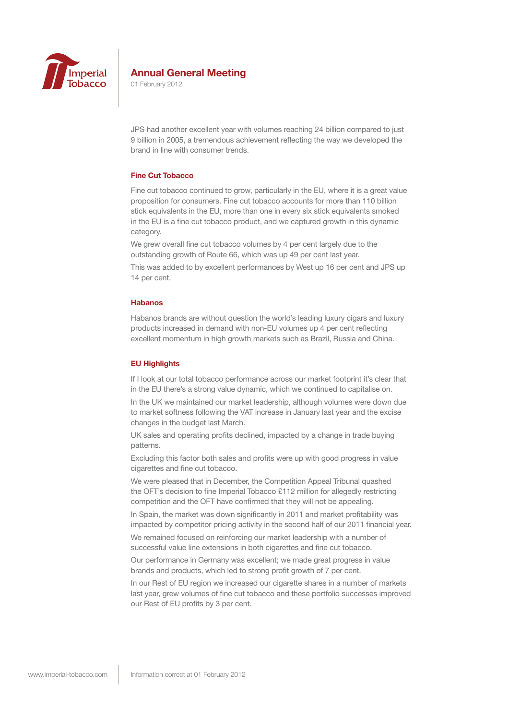

01 February 2012

JPS had another excellent year with volumes reaching 24 billion compared to just 9 billion in 2005, a tremendous achievement reflecting the way we developed the brand in line with consumer trends.

## **Fine Cut Tobacco**

Fine cut tobacco continued to grow, particularly in the EU, where it is a great value proposition for consumers. Fine cut tobacco accounts for more than 110 billion stick equivalents in the EU, more than one in every six stick equivalents smoked in the EU is a fine cut tobacco product, and we captured growth in this dynamic category.

We grew overall fine cut tobacco volumes by 4 per cent largely due to the outstanding growth of Route 66, which was up 49 per cent last year.

This was added to by excellent performances by West up 16 per cent and JPS up 14 per cent.

### **Habanos**

Habanos brands are without question the world's leading luxury cigars and luxury products increased in demand with non-EU volumes up 4 per cent reflecting excellent momentum in high growth markets such as Brazil, Russia and China.

### **EU Highlights**

If I look at our total tobacco performance across our market footprint it's clear that in the EU there's a strong value dynamic, which we continued to capitalise on.

In the UK we maintained our market leadership, although volumes were down due to market softness following the VAT increase in January last year and the excise changes in the budget last March.

UK sales and operating profits declined, impacted by a change in trade buying patterns.

Excluding this factor both sales and profits were up with good progress in value cigarettes and fine cut tobacco.

We were pleased that in December, the Competition Appeal Tribunal quashed the OFT's decision to fine Imperial Tobacco £112 million for allegedly restricting competition and the OFT have confirmed that they will not be appealing.

In Spain, the market was down significantly in 2011 and market profitability was impacted by competitor pricing activity in the second half of our 2011 financial year.

We remained focused on reinforcing our market leadership with a number of successful value line extensions in both cigarettes and fine cut tobacco.

Our performance in Germany was excellent; we made great progress in value brands and products, which led to strong profit growth of 7 per cent.

In our Rest of EU region we increased our cigarette shares in a number of markets last year, grew volumes of fine cut tobacco and these portfolio successes improved our Rest of EU profits by 3 per cent.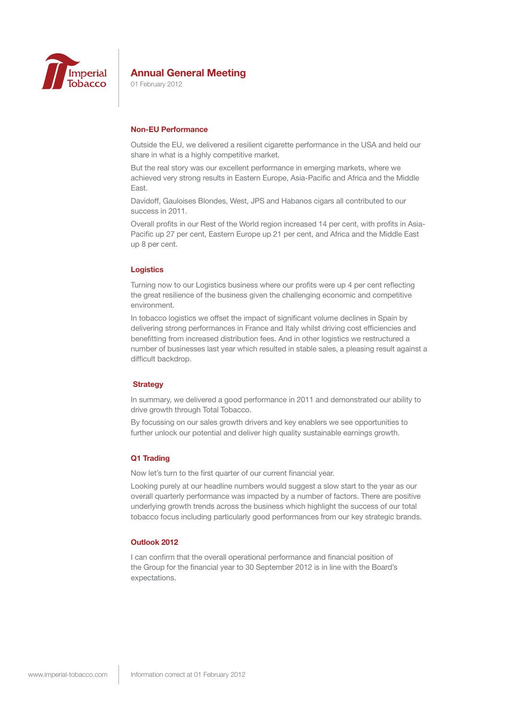

01 February 2012

## **Non-EU Performance**

Outside the EU, we delivered a resilient cigarette performance in the USA and held our share in what is a highly competitive market.

But the real story was our excellent performance in emerging markets, where we achieved very strong results in Eastern Europe, Asia-Pacific and Africa and the Middle East.

Davidoff, Gauloises Blondes, West, JPS and Habanos cigars all contributed to our success in 2011.

Overall profits in our Rest of the World region increased 14 per cent, with profits in Asia-Pacific up 27 per cent, Eastern Europe up 21 per cent, and Africa and the Middle East up 8 per cent.

## **Logistics**

Turning now to our Logistics business where our profits were up 4 per cent reflecting the great resilience of the business given the challenging economic and competitive environment.

In tobacco logistics we offset the impact of significant volume declines in Spain by delivering strong performances in France and Italy whilst driving cost efficiencies and benefitting from increased distribution fees. And in other logistics we restructured a number of businesses last year which resulted in stable sales, a pleasing result against a difficult backdrop.

### **Strategy**

In summary, we delivered a good performance in 2011 and demonstrated our ability to drive growth through Total Tobacco.

By focussing on our sales growth drivers and key enablers we see opportunities to further unlock our potential and deliver high quality sustainable earnings growth.

### **Q1 Trading**

Now let's turn to the first quarter of our current financial year.

Looking purely at our headline numbers would suggest a slow start to the year as our overall quarterly performance was impacted by a number of factors. There are positive underlying growth trends across the business which highlight the success of our total tobacco focus including particularly good performances from our key strategic brands.

### **Outlook 2012**

I can confirm that the overall operational performance and financial position of the Group for the financial year to 30 September 2012 is in line with the Board's expectations.